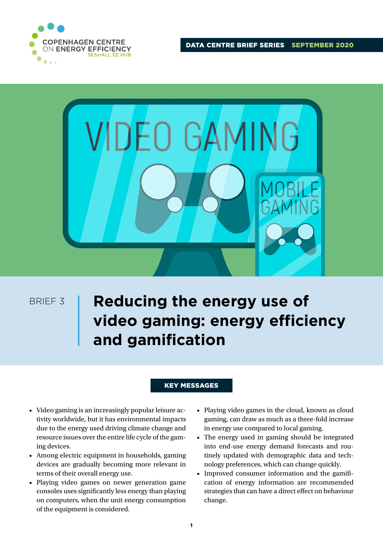

DATA CENTRE BRIEF SERIES SEPTEMBER 2020



BRIEF 3

# **Reducing the energy use of video gaming: energy efficiency and gamification**

## KEY MESSAGES

- Video gaming is an increasingly popular leisure activity worldwide, but it has environmental impacts due to the energy used driving climate change and resource issues over the entire life cycle of the gaming devices.
- Among electric equipment in households, gaming devices are gradually becoming more relevant in terms of their overall energy use.
- Playing video games on newer generation game consoles uses significantly less energy than playing on computers, when the unit energy consumption of the equipment is considered.
- Playing video games in the cloud, known as cloud gaming, can draw as much as a three-fold increase in energy use compared to local gaming.
- The energy used in gaming should be integrated into end-use energy demand forecasts and routinely updated with demographic data and technology preferences, which can change quickly.
- Improved consumer information and the gamification of energy information are recommended strategies that can have a direct effect on behaviour change.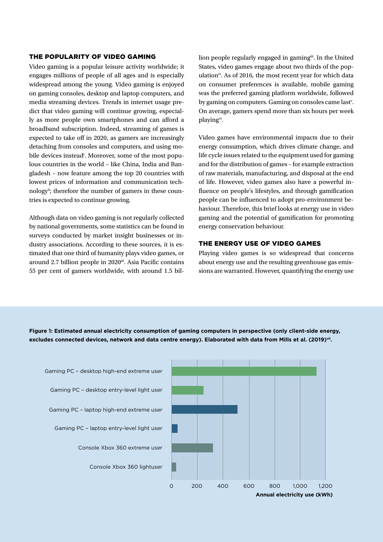#### THE POPULARITY OF VIDEO GAMING

Video gaming is a popular leisure activity worldwide; it engages millions of people of all ages and is especially widespread among the young. Video gaming is enjoyed on gaming consoles, desktop and laptop computers, and media streaming devices. Trends in internet usage predict that video gaming will continue growing, especially as more people own smartphones and can afford a broadband subscription. Indeed, streaming of games is expected to take off in 2020, as gamers are increasingly detaching from consoles and computers, and using mobile devices instead<sup>i</sup>. Moreover, some of the most populous countries in the world – like China, India and Bangladesh – now feature among the top 20 countries with lowest prices of information and communication technology<sup>ii</sup>; therefore the number of gamers in these countries is expected to continue growing.

Although data on video gaming is not regularly collected by national governments, some statistics can be found in surveys conducted by market insight businesses or industry associations. According to these sources, it is estimated that one third of humanity plays video games, or around 2.7 billion people in 2020ii. Asia Pacific contains 55 per cent of gamers worldwide, with around 1.5 bil-

lion people regularly engaged in gaming<sup>iii</sup>. In the United States, video games engage about two thirds of the population<sup>iv</sup>. As of 2016, the most recent year for which data on consumer preferences is available, mobile gaming was the preferred gaming platform worldwide, followed by gaming on computers. Gaming on consoles came last<sup>y</sup>. On average, gamers spend more than six hours per week playingvi.

Video games have environmental impacts due to their energy consumption, which drives climate change, and life cycle issues related to the equipment used for gaming and for the distribution of games – for example extraction of raw materials, manufacturing, and disposal at the end of life. However, video games also have a powerful influence on people's lifestyles, and through gamification people can be influenced to adopt pro-environment behaviour. Therefore, this brief looks at energy use in video gaming and the potential of gamification for promoting energy conservation behaviour.

#### THE ENERGY USE OF VIDEO GAMES

Playing video games is so widespread that concerns about energy use and the resulting greenhouse gas emissions are warranted. However, quantifying the energy use



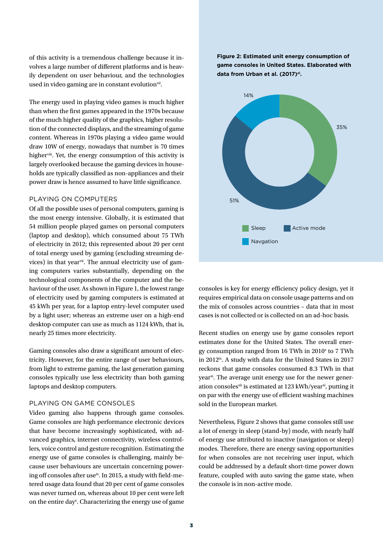of this activity is a tremendous challenge because it involves a large number of different platforms and is heavily dependent on user behaviour, and the technologies used in video gaming are in constant evolution<sup>vii</sup>.

The energy used in playing video games is much higher than when the first games appeared in the 1970s because of the much higher quality of the graphics, higher resolution of the connected displays, and the streaming of game content. Whereas in 1970s playing a video game would draw 10W of energy, nowadays that number is 70 times higher<sup>viii</sup>. Yet, the energy consumption of this activity is largely overlooked because the gaming devices in households are typically classified as non-appliances and their power draw is hence assumed to have little significance.

#### PLAYING ON COMPUTERS

Of all the possible uses of personal computers, gaming is the most energy intensive. Globally, it is estimated that 54 million people played games on personal computers (laptop and desktop), which consumed about 75 TWh of electricity in 2012; this represented about 20 per cent of total energy used by gaming (excluding streaming devices) in that year<sup>vii</sup>. The annual electricity use of gaming computers varies substantially, depending on the technological components of the computer and the behaviour of the user. As shown in Figure 1, the lowest range of electricity used by gaming computers is estimated at 45 kWh per year, for a laptop entry-level computer used by a light user; whereas an extreme user on a high-end desktop computer can use as much as 1124 kWh, that is, nearly 25 times more electricity.

Gaming consoles also draw a significant amount of electricity. However, for the entire range of user behaviours, from light to extreme gaming, the last generation gaming consoles typically use less electricity than both gaming laptops and desktop computers.

#### PLAYING ON GAME CONSOLES

Video gaming also happens through game consoles. Game consoles are high performance electronic devices that have become increasingly sophisticated, with advanced graphics, internet connectivity, wireless controllers, voice control and gesture recognition. Estimating the energy use of game consoles is challenging, mainly because user behaviours are uncertain concerning powering off consoles after use<sup>ix</sup>. In 2015, a study with field-metered usage data found that 20 per cent of game consoles was never turned on, whereas about 10 per cent were left on the entire day<sup>x</sup>. Characterizing the energy use of game **Figure 2: Estimated unit energy consumption of game consoles in United States. Elaborated with**  data from Urban et al. (2017)<sup>xi</sup>.



consoles is key for energy efficiency policy design, yet it requires empirical data on console usage patterns and on the mix of consoles across countries – data that in most cases is not collected or is collected on an ad-hoc basis.

Recent studies on energy use by game consoles report estimates done for the United States. The overall energy consumption ranged from 16 TWh in 2010<sup>x</sup> to 7 TWh in 2012<sup>ix</sup>. A study with data for the United States in 2017 reckons that game consoles consumed 8.3 TWh in that year<sup>xi</sup>. The average unit energy use for the newer generation consoles<sup>xii</sup> is estimated at 123 kWh/year<sup>xi</sup>, putting it on par with the energy use of efficient washing machines sold in the European market.

Nevertheless, Figure 2 shows that game consoles still use a lot of energy in sleep (stand-by) mode, with nearly half of energy use attributed to inactive (navigation or sleep) modes. Therefore, there are energy saving opportunities for when consoles are not receiving user input, which could be addressed by a default short-time power down feature, coupled with auto saving the game state, when the console is in non-active mode.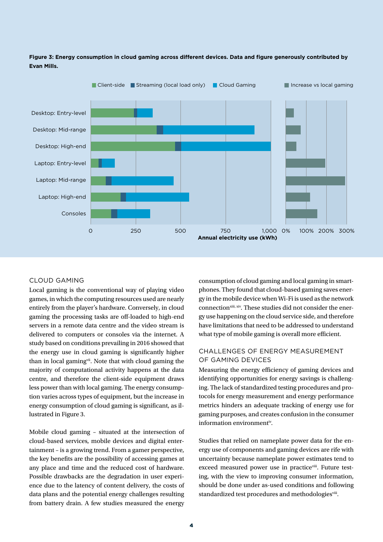

# **Figure 3: Energy consumption in cloud gaming across different devices. Data and figure generously contributed by Evan Mills.**

# CLOUD GAMING

Local gaming is the conventional way of playing video games, in which the computing resources used are nearly entirely from the player's hardware. Conversely, in cloud gaming the processing tasks are off-loaded to high-end servers in a remote data centre and the video stream is delivered to computers or consoles via the internet. A study based on conditions prevailing in 2016 showed that the energy use in cloud gaming is significantly higher than in local gaming<sup>vii</sup>. Note that with cloud gaming the majority of computational activity happens at the data centre, and therefore the client-side equipment draws less power than with local gaming. The energy consumption varies across types of equipment, but the increase in energy consumption of cloud gaming is significant, as illustrated in Figure 3.

Mobile cloud gaming – situated at the intersection of cloud-based services, mobile devices and digital entertainment – is a growing trend. From a gamer perspective, the key benefits are the possibility of accessing games at any place and time and the reduced cost of hardware. Possible drawbacks are the degradation in user experience due to the latency of content delivery, the costs of data plans and the potential energy challenges resulting from battery drain. A few studies measured the energy

consumption of cloud gaming and local gaming in smartphones. They found that cloud-based gaming saves energy in the mobile device when Wi-Fi is used as the network connection<sup>xiii, xiv</sup>. These studies did not consider the energy use happening on the cloud service side, and therefore have limitations that need to be addressed to understand what type of mobile gaming is overall more efficient.

# CHALL ENGES OF ENERGY MEASUREMENT OF GAMING DEVICES

Measuring the energy efficiency of gaming devices and identifying opportunities for energy savings is challenging. The lack of standardized testing procedures and protocols for energy measurement and energy performance metrics hinders an adequate tracking of energy use for gaming purposes, and creates confusion in the consumer information environmentiv.

Studies that relied on nameplate power data for the energy use of components and gaming devices are rife with uncertainty because nameplate power estimates tend to exceed measured power use in practiceviii. Future testing, with the view to improving consumer information, should be done under as-used conditions and following standardized test procedures and methodologiesviii.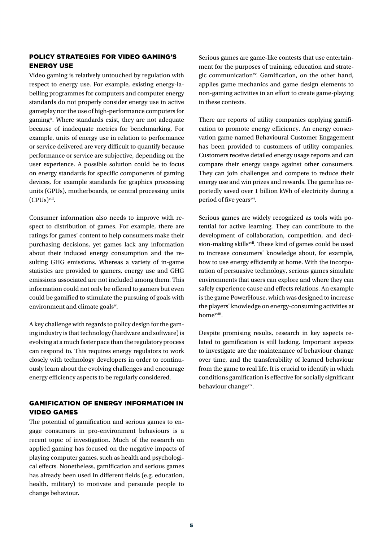### POLICY STRATEGIES FOR VIDEO GAMING'S ENERGY USE

Video gaming is relatively untouched by regulation with respect to energy use. For example, existing energy-labelling programmes for computers and computer energy standards do not properly consider energy use in active gameplay nor the use of high-performance computers for gamingiv. Where standards exist, they are not adequate because of inadequate metrics for benchmarking. For example, units of energy use in relation to performance or service delivered are very difficult to quantify because performance or service are subjective, depending on the user experience. A possible solution could be to focus on energy standards for specific components of gaming devices, for example standards for graphics processing units (GPUs), motherboards, or central processing units (CPUs)viii.

Consumer information also needs to improve with respect to distribution of games. For example, there are ratings for games' content to help consumers make their purchasing decisions, yet games lack any information about their induced energy consumption and the resulting GHG emissions. Whereas a variety of in-game statistics are provided to gamers, energy use and GHG emissions associated are not included among them. This information could not only be offered to gamers but even could be gamified to stimulate the pursuing of goals with environment and climate goalsiv.

A key challenge with regards to policy design for the gaming industry is that technology (hardware and software) is evolving at a much faster pace than the regulatory process can respond to. This requires energy regulators to work closely with technology developers in order to continuously learn about the evolving challenges and encourage energy efficiency aspects to be regularly considered.

## GAMIFICATION OF ENERGY INFORMATION IN VIDEO GAMES

The potential of gamification and serious games to engage consumers in pro-environment behaviours is a recent topic of investigation. Much of the research on applied gaming has focused on the negative impacts of playing computer games, such as health and psychological effects. Nonetheless, gamification and serious games has already been used in different fields (e.g. education, health, military) to motivate and persuade people to change behaviour.

Serious games are game-like contests that use entertainment for the purposes of training, education and strategic communicationxv. Gamification, on the other hand, applies game mechanics and game design elements to non-gaming activities in an effort to create game-playing in these contexts.

There are reports of utility companies applying gamification to promote energy efficiency. An energy conservation game named Behavioural Customer Engagement has been provided to customers of utility companies. Customers receive detailed energy usage reports and can compare their energy usage against other consumers. They can join challenges and compete to reduce their energy use and win prizes and rewards. The game has reportedly saved over 1 billion kWh of electricity during a period of five years<sup>xvi</sup>.

Serious games are widely recognized as tools with potential for active learning. They can contribute to the development of collaboration, competition, and decision-making skills<sup>xvii</sup>. These kind of games could be used to increase consumers' knowledge about, for example, how to use energy efficiently at home. With the incorporation of persuasive technology, serious games simulate environments that users can explore and where they can safely experience cause and effects relations. An example is the game PowerHouse, which was designed to increase the players' knowledge on energy-consuming activities at homexviii.

Despite promising results, research in key aspects related to gamification is still lacking. Important aspects to investigate are the maintenance of behaviour change over time, and the transferability of learned behaviour from the game to real life. It is crucial to identify in which conditions gamification is effective for socially significant behaviour change<sup>xix</sup>.